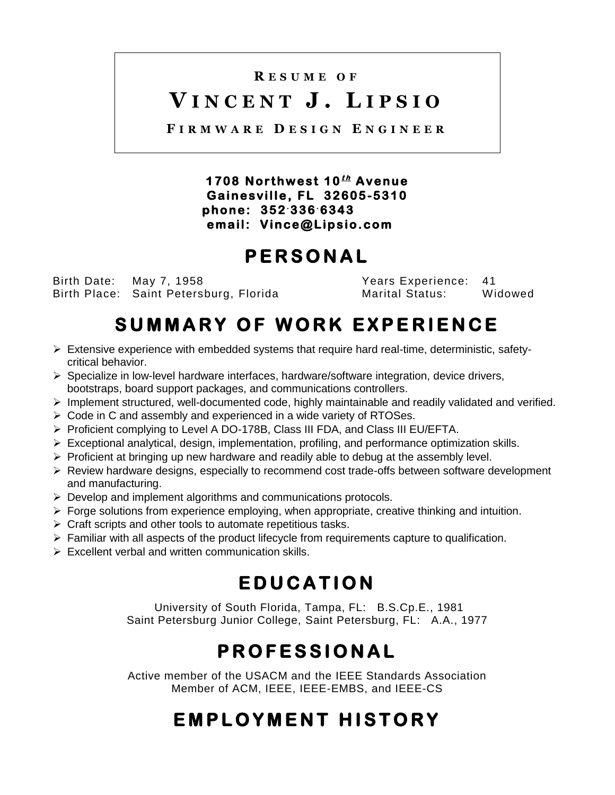# **R E S U M E O F**

# **V I N C E N T J . L I P S I O**

**F I R M W A R E D E S I G N E N G I N E E R**

**1 7 0 8 N or t h w e s t 1 0<sup>t</sup> <sup>h</sup> A v e n u e**   $Gainesville, FL 32605-5310$  **p h o n e : 3 5 2.336.6343 e ma il : V i n ce @ L ip s io . c o m** 

# **P E R S O N A L**

Birth Date: May 7, 1958 Years Experience: 41 Birth Place: Saint Petersburg, Florida Marital Status:

# SUMMARY OF WORK EXPERIENCE

- $\triangleright$  Extensive experience with embedded systems that require hard real-time, deterministic, safetycritical behavior.
- $\triangleright$  Specialize in low-level hardware interfaces, hardware/software integration, device drivers, bootstraps, board support packages, and communications controllers.
- $\triangleright$  Implement structured, well-documented code, highly maintainable and readily validated and verified.
- $\triangleright$  Code in C and assembly and experienced in a wide variety of RTOSes.
- ▶ Proficient complying to Level A DO-178B, Class III FDA, and Class III EU/EFTA.
- $\triangleright$  Exceptional analytical, design, implementation, profiling, and performance optimization skills.
- $\triangleright$  Proficient at bringing up new hardware and readily able to debug at the assembly level.
- $\triangleright$  Review hardware designs, especially to recommend cost trade-offs between software development and manufacturing.
- $\triangleright$  Develop and implement algorithms and communications protocols.
- $\triangleright$  Forge solutions from experience employing, when appropriate, creative thinking and intuition.
- $\triangleright$  Craft scripts and other tools to automate repetitious tasks.
- $\triangleright$  Familiar with all aspects of the product lifecycle from requirements capture to qualification.
- $\triangleright$  Excellent verbal and written communication skills.

# **E D U C A T I O N**

University of South Florida, Tampa, FL: B.S.Cp.E., 1981 Saint Petersburg Junior College, Saint Petersburg, FL: A.A., 1977

# **P R O F E S S I O N A L**

Active member of the USACM and the IEEE Standards Association Member of ACM, IEEE, IEEE-EMBS, and IEEE-CS

# **E M P L O Y M E N T H I S T O R Y**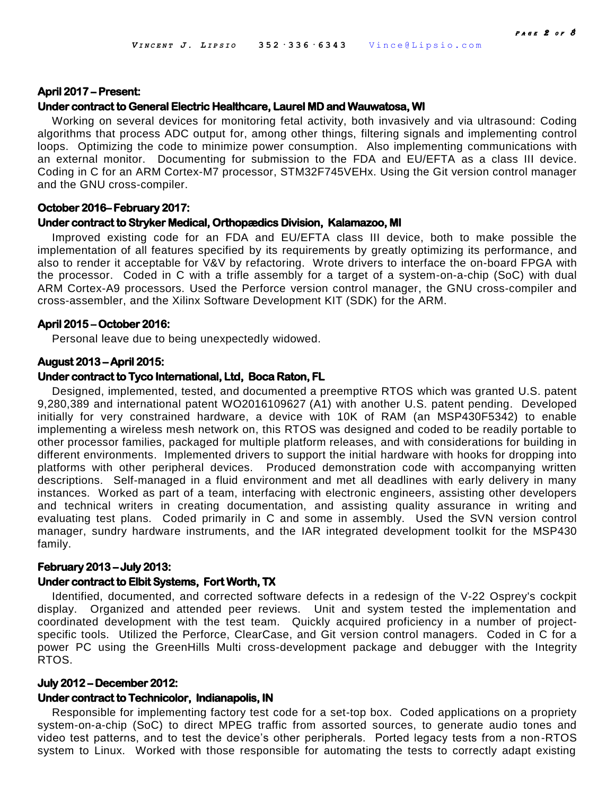#### **April 2017 – Present:**

#### **Under contract to General Electric Healthcare, Laurel MD and Wauwatosa, WI**

Working on several devices for monitoring fetal activity, both invasively and via ultrasound: Coding algorithms that process ADC output for, among other things, filtering signals and implementing control loops. Optimizing the code to minimize power consumption. Also implementing communications with an external monitor. Documenting for submission to the FDA and EU/EFTA as a class III device. Coding in C for an ARM Cortex-M7 processor, STM32F745VEHx. Using the Git version control manager and the GNU cross-compiler.

#### **October 2016– February 2017:**

## **Under contract to Stryker Medical, Orthopædics Division, Kalamazoo, MI**

Improved existing code for an FDA and EU/EFTA class III device, both to make possible the implementation of all features specified by its requirements by greatly optimizing its performance, and also to render it acceptable for V&V by refactoring. Wrote drivers to interface the on-board FPGA with the processor. Coded in C with a trifle assembly for a target of a system-on-a-chip (SoC) with dual ARM Cortex-A9 processors. Used the Perforce version control manager, the GNU cross-compiler and cross-assembler, and the Xilinx Software Development KIT (SDK) for the ARM.

## **April 2015 – October 2016:**

Personal leave due to being unexpectedly widowed.

#### **August 2013 – April 2015:**

#### **Under contract to Tyco International, Ltd, Boca Raton, FL**

Designed, implemented, tested, and documented a preemptive RTOS which was granted U.S. patent 9,280,389 and international patent WO2016109627 (A1) with another U.S. patent pending. Developed initially for very constrained hardware, a device with 10K of RAM (an MSP430F5342) to enable implementing a wireless mesh network on, this RTOS was designed and coded to be readily portable to other processor families, packaged for multiple platform releases, and with considerations for building in different environments. Implemented drivers to support the initial hardware with hooks for dropping into platforms with other peripheral devices. Produced demonstration code with accompanying written descriptions. Self-managed in a fluid environment and met all deadlines with early delivery in many instances. Worked as part of a team, interfacing with electronic engineers, assisting other developers and technical writers in creating documentation, and assisting quality assurance in writing and evaluating test plans. Coded primarily in C and some in assembly. Used the SVN version control manager, sundry hardware instruments, and the IAR integrated development toolkit for the MSP430 family.

#### **February 2013 – July 2013:**

## **Under contract to Elbit Systems, Fort Worth, TX**

Identified, documented, and corrected software defects in a redesign of the V-22 Osprey's cockpit display. Organized and attended peer reviews. Unit and system tested the implementation and coordinated development with the test team. Quickly acquired proficiency in a number of projectspecific tools. Utilized the Perforce, ClearCase, and Git version control managers. Coded in C for a power PC using the GreenHills Multi cross-development package and debugger with the Integrity RTOS.

#### **July 2012 – December 2012:**

## **Under contract to Technicolor, Indianapolis, IN**

Responsible for implementing factory test code for a set-top box. Coded applications on a propriety system-on-a-chip (SoC) to direct MPEG traffic from assorted sources, to generate audio tones and video test patterns, and to test the device's other peripherals. Ported legacy tests from a non-RTOS system to Linux. Worked with those responsible for automating the tests to correctly adapt existing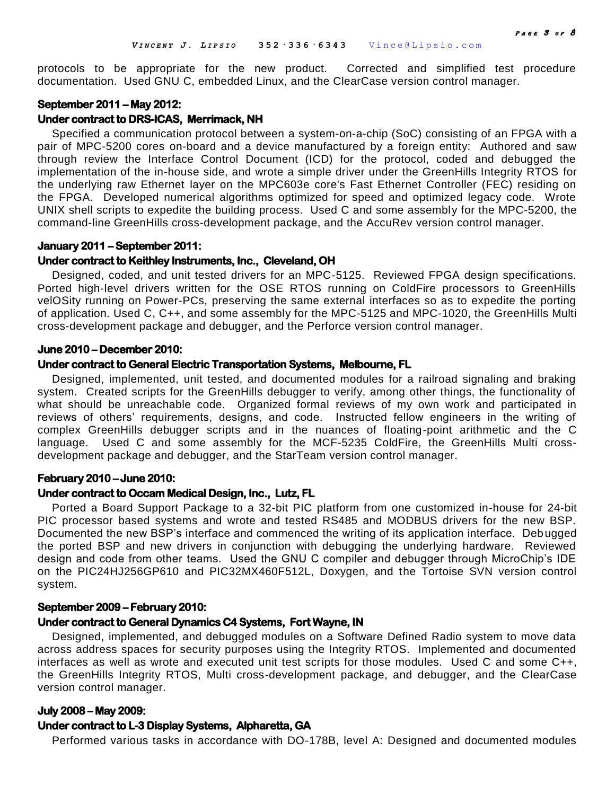protocols to be appropriate for the new product. Corrected and simplified test procedure documentation. Used GNU C, embedded Linux, and the ClearCase version control manager.

## **September 2011 – May 2012:**

### **Under contract to DRS-ICAS, Merrimack, NH**

Specified a communication protocol between a system-on-a-chip (SoC) consisting of an FPGA with a pair of MPC-5200 cores on-board and a device manufactured by a foreign entity: Authored and saw through review the Interface Control Document (ICD) for the protocol, coded and debugged the implementation of the in-house side, and wrote a simple driver under the GreenHills Integrity RTOS for the underlying raw Ethernet layer on the MPC603e core's Fast Ethernet Controller (FEC) residing on the FPGA. Developed numerical algorithms optimized for speed and optimized legacy code. Wrote UNIX shell scripts to expedite the building process. Used C and some assembly for the MPC-5200, the command-line GreenHills cross-development package, and the AccuRev version control manager.

#### **January 2011 – September 2011:**

#### **Under contract to Keithley Instruments, Inc., Cleveland, OH**

Designed, coded, and unit tested drivers for an MPC-5125. Reviewed FPGA design specifications. Ported high-level drivers written for the OSE RTOS running on ColdFire processors to GreenHills velOSity running on Power-PCs, preserving the same external interfaces so as to expedite the porting of application. Used C, C++, and some assembly for the MPC-5125 and MPC-1020, the GreenHills Multi cross-development package and debugger, and the Perforce version control manager.

## **June 2010 – December 2010:**

## **Under contract to General Electric Transportation Systems, Melbourne, FL**

Designed, implemented, unit tested, and documented modules for a railroad signaling and braking system. Created scripts for the GreenHills debugger to verify, among other things, the functionality of what should be unreachable code. Organized formal reviews of my own work and participated in reviews of others' requirements, designs, and code. Instructed fellow engineers in the writing of complex GreenHills debugger scripts and in the nuances of floating-point arithmetic and the C language. Used C and some assembly for the MCF-5235 ColdFire, the GreenHills Multi crossdevelopment package and debugger, and the StarTeam version control manager.

### **February 2010 – June 2010:**

## **Under contract to Occam Medical Design, Inc., Lutz, FL**

Ported a Board Support Package to a 32-bit PIC platform from one customized in-house for 24-bit PIC processor based systems and wrote and tested RS485 and MODBUS drivers for the new BSP. Documented the new BSP's interface and commenced the writing of its application interface. Debugged the ported BSP and new drivers in conjunction with debugging the underlying hardware. Reviewed design and code from other teams. Used the GNU C compiler and debugger through MicroChip's IDE on the PIC24HJ256GP610 and PIC32MX460F512L, Doxygen, and the Tortoise SVN version control system.

#### **September 2009 – February 2010:**

#### **Under contract to General Dynamics C4 Systems, Fort Wayne, IN**

Designed, implemented, and debugged modules on a Software Defined Radio system to move data across address spaces for security purposes using the Integrity RTOS. Implemented and documented interfaces as well as wrote and executed unit test scripts for those modules. Used C and some C++, the GreenHills Integrity RTOS, Multi cross-development package, and debugger, and the ClearCase version control manager.

#### **July 2008 – May 2009:**

### **Under contract to L-3 Display Systems, Alpharetta, GA**

Performed various tasks in accordance with DO-178B, level A: Designed and documented modules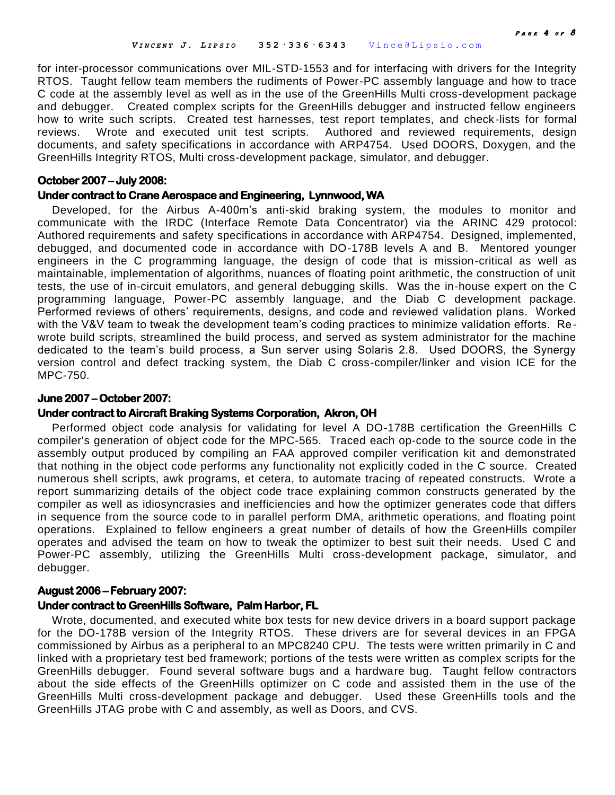for inter-processor communications over MIL-STD-1553 and for interfacing with drivers for the Integrity RTOS. Taught fellow team members the rudiments of Power-PC assembly language and how to trace C code at the assembly level as well as in the use of the GreenHills Multi cross-development package and debugger. Created complex scripts for the GreenHills debugger and instructed fellow engineers how to write such scripts. Created test harnesses, test report templates, and check -lists for formal reviews. Wrote and executed unit test scripts. Authored and reviewed requirements, design documents, and safety specifications in accordance with ARP4754. Used DOORS, Doxygen, and the GreenHills Integrity RTOS, Multi cross-development package, simulator, and debugger.

#### **October 2007 – July 2008:**

## **Under contract to Crane Aerospace and Engineering, Lynnwood, WA**

Developed, for the Airbus A-400m's anti-skid braking system, the modules to monitor and communicate with the IRDC (Interface Remote Data Concentrator) via the ARINC 429 protocol: Authored requirements and safety specifications in accordance with ARP4754. Designed, implemented, debugged, and documented code in accordance with DO-178B levels A and B.Mentored younger engineers in the C programming language, the design of code that is mission-critical as well as maintainable, implementation of algorithms, nuances of floating point arithmetic, the construction of unit tests, the use of in-circuit emulators, and general debugging skills. Was the in-house expert on the C programming language, Power-PC assembly language, and the Diab C development package. Performed reviews of others' requirements, designs, and code and reviewed validation plans. Worked with the V&V team to tweak the development team's coding practices to minimize validation efforts. Rewrote build scripts, streamlined the build process, and served as system administrator for the machine dedicated to the team's build process, a Sun server using Solaris 2.8. Used DOORS, the Synergy version control and defect tracking system, the Diab C cross-compiler/linker and vision ICE for the MPC-750.

## **June 2007 – October 2007:**

## **Under contract to Aircraft Braking Systems Corporation, Akron, OH**

Performed object code analysis for validating for level A DO-178B certification the GreenHills C compiler's generation of object code for the MPC-565. Traced each op-code to the source code in the assembly output produced by compiling an FAA approved compiler verification kit and demonstrated that nothing in the object code performs any functionality not explicitly coded in the C source. Created numerous shell scripts, awk programs, et cetera, to automate tracing of repeated constructs. Wrote a report summarizing details of the object code trace explaining common constructs generated by the compiler as well as idiosyncrasies and inefficiencies and how the optimizer generates code that differs in sequence from the source code to in parallel perform DMA, arithmetic operations, and floating point operations. Explained to fellow engineers a great number of details of how the GreenHills compiler operates and advised the team on how to tweak the optimizer to best suit their needs. Used C and Power-PC assembly, utilizing the GreenHills Multi cross-development package, simulator, and debugger.

## **August 2006 – February 2007:**

#### **Under contract to GreenHills Software, Palm Harbor, FL**

Wrote, documented, and executed white box tests for new device drivers in a board support package for the DO-178B version of the Integrity RTOS. These drivers are for several devices in an FPGA commissioned by Airbus as a peripheral to an MPC8240 CPU. The tests were written primarily in C and linked with a proprietary test bed framework; portions of the tests were written as complex scripts for the GreenHills debugger. Found several software bugs and a hardware bug. Taught fellow contractors about the side effects of the GreenHills optimizer on C code and assisted them in the use of the GreenHills Multi cross-development package and debugger. Used these GreenHills tools and the GreenHills JTAG probe with C and assembly, as well as Doors, and CVS.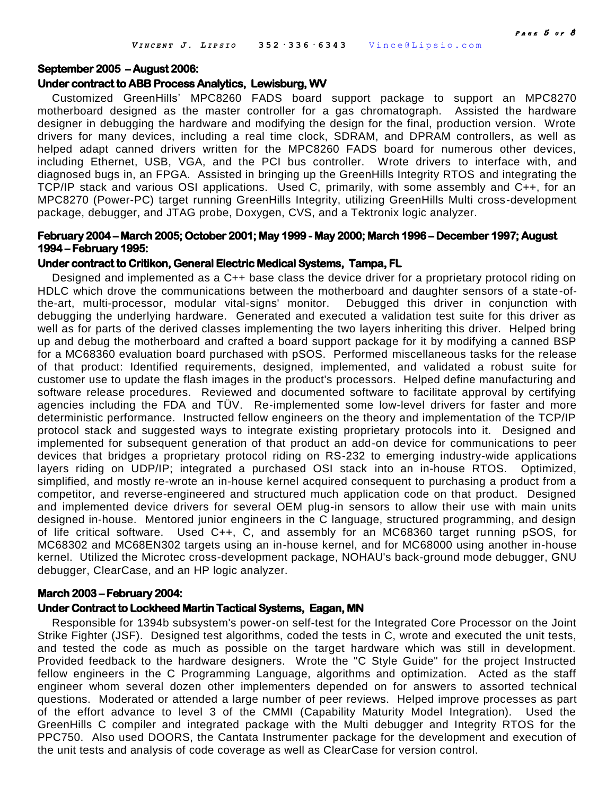## **September 2005 – August 2006:**

## **Under contract to ABB Process Analytics, Lewisburg, WV**

Customized GreenHills' MPC8260 FADS board support package to support an MPC8270 motherboard designed as the master controller for a gas chromatograph. Assisted the hardware designer in debugging the hardware and modifying the design for the final, production version. Wrote drivers for many devices, including a real time clock, SDRAM, and DPRAM controllers, as well as helped adapt canned drivers written for the MPC8260 FADS board for numerous other devices, including Ethernet, USB, VGA, and the PCI bus controller. Wrote drivers to interface with, and diagnosed bugs in, an FPGA. Assisted in bringing up the GreenHills Integrity RTOS and integrating the TCP/IP stack and various OSI applications. Used C, primarily, with some assembly and C++, for an MPC8270 (Power-PC) target running GreenHills Integrity, utilizing GreenHills Multi cross-development package, debugger, and JTAG probe, Doxygen, CVS, and a Tektronix logic analyzer.

## **February 2004 – March 2005; October 2001; May 1999 - May 2000; March 1996 – December 1997; August 1994 – February 1995:**

## **Under contract to Critikon, General Electric Medical Systems, Tampa, FL**

Designed and implemented as a C++ base class the device driver for a proprietary protocol riding on HDLC which drove the communications between the motherboard and daughter sensors of a state-ofthe-art, multi-processor, modular vital-signs' monitor. Debugged this driver in conjunction with debugging the underlying hardware. Generated and executed a validation test suite for this driver as well as for parts of the derived classes implementing the two layers inheriting this driver. Helped bring up and debug the motherboard and crafted a board support package for it by modifying a canned BSP for a MC68360 evaluation board purchased with pSOS. Performed miscellaneous tasks for the release of that product: Identified requirements, designed, implemented, and validated a robust suite for customer use to update the flash images in the product's processors. Helped define manufacturing and software release procedures. Reviewed and documented software to facilitate approval by certifying agencies including the FDA and TÜV. Re-implemented some low-level drivers for faster and more deterministic performance. Instructed fellow engineers on the theory and implementation of the TCP/IP protocol stack and suggested ways to integrate existing proprietary protocols into it. Designed and implemented for subsequent generation of that product an add-on device for communications to peer devices that bridges a proprietary protocol riding on RS-232 to emerging industry-wide applications layers riding on UDP/IP; integrated a purchased OSI stack into an in-house RTOS. Optimized, simplified, and mostly re-wrote an in-house kernel acquired consequent to purchasing a product from a competitor, and reverse-engineered and structured much application code on that product. Designed and implemented device drivers for several OEM plug-in sensors to allow their use with main units designed in-house. Mentored junior engineers in the C language, structured programming, and design of life critical software. Used C++, C, and assembly for an MC68360 target running pSOS, for MC68302 and MC68EN302 targets using an in-house kernel, and for MC68000 using another in-house kernel. Utilized the Microtec cross-development package, NOHAU's back-ground mode debugger, GNU debugger, ClearCase, and an HP logic analyzer.

#### **March 2003 – February 2004:**

#### **Under Contract to Lockheed Martin Tactical Systems, Eagan, MN**

Responsible for 1394b subsystem's power-on self-test for the Integrated Core Processor on the Joint Strike Fighter (JSF). Designed test algorithms, coded the tests in C, wrote and executed the unit tests. and tested the code as much as possible on the target hardware which was still in development. Provided feedback to the hardware designers. Wrote the "C Style Guide" for the project Instructed fellow engineers in the C Programming Language, algorithms and optimization. Acted as the staff engineer whom several dozen other implementers depended on for answers to assorted technical questions. Moderated or attended a large number of peer reviews. Helped improve processes as part of the effort advance to level 3 of the CMMI (Capability Maturity Model Integration). Used the GreenHills C compiler and integrated package with the Multi debugger and Integrity RTOS for the PPC750. Also used DOORS, the Cantata Instrumenter package for the development and execution of the unit tests and analysis of code coverage as well as ClearCase for version control.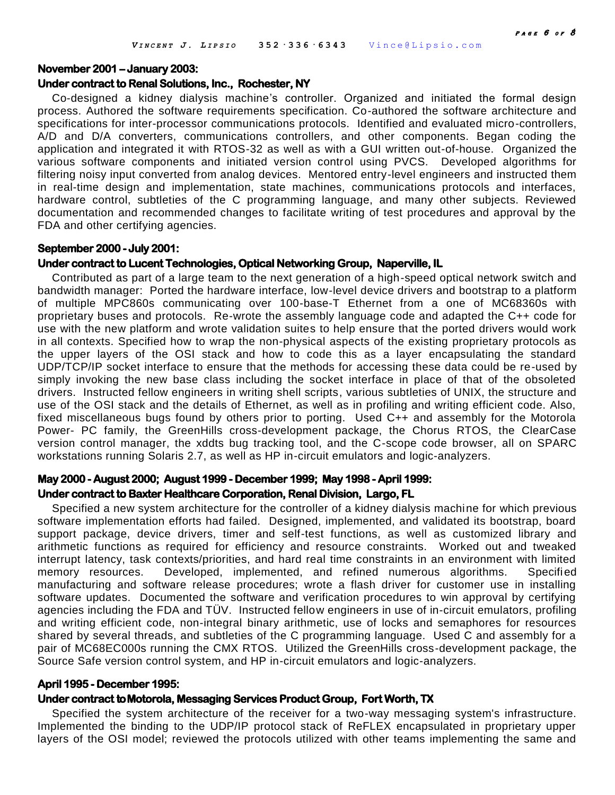#### **November 2001 – January 2003:**

#### **Under contract to Renal Solutions, Inc., Rochester, NY**

Co-designed a kidney dialysis machine's controller. Organized and initiated the formal design process. Authored the software requirements specification. Co-authored the software architecture and specifications for inter-processor communications protocols. Identified and evaluated micro-controllers, A/D and D/A converters, communications controllers, and other components. Began coding the application and integrated it with RTOS-32 as well as with a GUI written out-of-house. Organized the various software components and initiated version control using PVCS. Developed algorithms for filtering noisy input converted from analog devices. Mentored entry-level engineers and instructed them in real-time design and implementation, state machines, communications protocols and interfaces, hardware control, subtleties of the C programming language, and many other subjects. Reviewed documentation and recommended changes to facilitate writing of test procedures and approval by the FDA and other certifying agencies.

#### **September 2000 - July 2001:**

#### **Under contract to Lucent Technologies, Optical Networking Group, Naperville, IL**

Contributed as part of a large team to the next generation of a high-speed optical network switch and bandwidth manager: Ported the hardware interface, low-level device drivers and bootstrap to a platform of multiple MPC860s communicating over 100-base-T Ethernet from a one of MC68360s with proprietary buses and protocols. Re-wrote the assembly language code and adapted the C++ code for use with the new platform and wrote validation suites to help ensure that the ported drivers would work in all contexts. Specified how to wrap the non-physical aspects of the existing proprietary protocols as the upper layers of the OSI stack and how to code this as a layer encapsulating the standard UDP/TCP/IP socket interface to ensure that the methods for accessing these data could be re-used by simply invoking the new base class including the socket interface in place of that of the obsoleted drivers. Instructed fellow engineers in writing shell scripts, various subtleties of UNIX, the structure and use of the OSI stack and the details of Ethernet, as well as in profiling and writing efficient code. Also, fixed miscellaneous bugs found by others prior to porting. Used C++ and assembly for the Motorola Power- PC family, the GreenHills cross-development package, the Chorus RTOS, the ClearCase version control manager, the xddts bug tracking tool, and the C-scope code browser, all on SPARC workstations running Solaris 2.7, as well as HP in-circuit emulators and logic-analyzers.

## **May 2000 - August 2000; August 1999 - December 1999; May 1998 - April 1999: Under contract to Baxter Healthcare Corporation, Renal Division, Largo, FL**

Specified a new system architecture for the controller of a kidney dialysis machine for which previous software implementation efforts had failed. Designed, implemented, and validated its bootstrap, board support package, device drivers, timer and self-test functions, as well as customized library and arithmetic functions as required for efficiency and resource constraints. Worked out and tweaked interrupt latency, task contexts/priorities, and hard real time constraints in an environment with limited memory resources. Developed, implemented, and refined numerous algorithms. Specified manufacturing and software release procedures; wrote a flash driver for customer use in installing software updates. Documented the software and verification procedures to win approval by certifying agencies including the FDA and TÜV. Instructed fellow engineers in use of in-circuit emulators, profiling and writing efficient code, non-integral binary arithmetic, use of locks and semaphores for resources shared by several threads, and subtleties of the C programming language. Used C and assembly for a pair of MC68EC000s running the CMX RTOS. Utilized the GreenHills cross-development package, the Source Safe version control system, and HP in-circuit emulators and logic-analyzers.

#### **April 1995 - December 1995:**

### **Under contract to Motorola, Messaging Services Product Group, Fort Worth, TX**

Specified the system architecture of the receiver for a two-way messaging system's infrastructure. Implemented the binding to the UDP/IP protocol stack of ReFLEX encapsulated in proprietary upper layers of the OSI model; reviewed the protocols utilized with other teams implementing the same and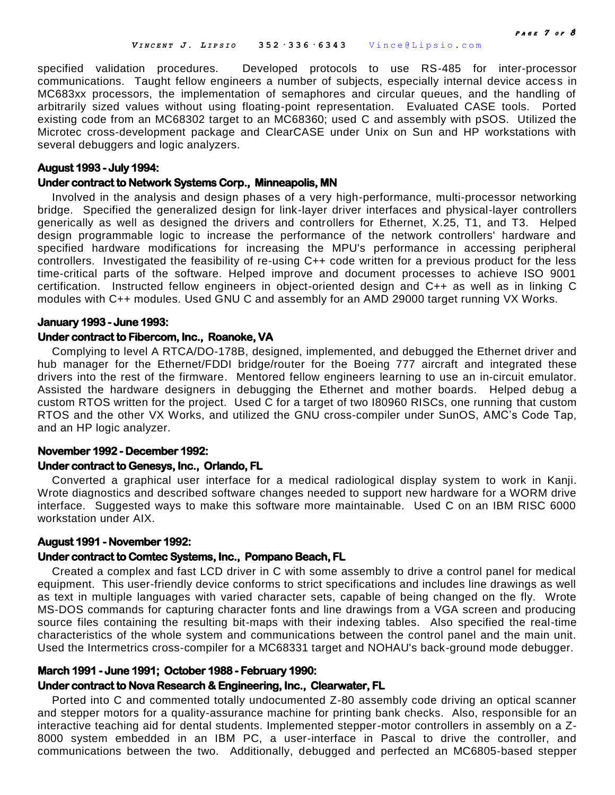specified validation procedures. Developed protocols to use RS-485 for inter-processor communications. Taught fellow engineers a number of subjects, especially internal device access in MC683xx processors, the implementation of semaphores and circular queues, and the handling of arbitrarily sized values without using floating-point representation. Evaluated CASE tools. Ported existing code from an MC68302 target to an MC68360; used C and assembly with pSOS. Utilized the Microtec cross-development package and ClearCASE under Unix on Sun and HP workstations with several debuggers and logic analyzers.

## **August 1993 - July 1994:**

## **Under contract to Network Systems Corp., Minneapolis, MN**

Involved in the analysis and design phases of a very high-performance, multi-processor networking bridge. Specified the generalized design for link-layer driver interfaces and physical-layer controllers generically as well as designed the drivers and controllers for Ethernet, X.25, T1, and T3. Helped design programmable logic to increase the performance of the network controllers' hardware and specified hardware modifications for increasing the MPU's performance in accessing peripheral controllers. Investigated the feasibility of re-using C++ code written for a previous product for the less time-critical parts of the software. Helped improve and document processes to achieve ISO 9001 certification. Instructed fellow engineers in object-oriented design and C++ as well as in linking C modules with C++ modules. Used GNU C and assembly for an AMD 29000 target running VX Works.

## **January 1993 - June 1993:**

## **Under contract to Fibercom, Inc., Roanoke, VA**

Complying to level A RTCA/DO-178B, designed, implemented, and debugged the Ethernet driver and hub manager for the Ethernet/FDDI bridge/router for the Boeing 777 aircraft and integrated these drivers into the rest of the firmware. Mentored fellow engineers learning to use an in-circuit emulator. Assisted the hardware designers in debugging the Ethernet and mother boards. Helped debug a custom RTOS written for the project. Used C for a target of two I80960 RISCs, one running that custom RTOS and the other VX Works, and utilized the GNU cross-compiler under SunOS, AMC's Code Tap, and an HP logic analyzer.

# **November 1992 - December 1992:**

## **Under contract to Genesys, Inc., Orlando, FL**

Converted a graphical user interface for a medical radiological display system to work in Kanji. Wrote diagnostics and described software changes needed to support new hardware for a WORM drive interface. Suggested ways to make this software more maintainable. Used C on an IBM RISC 6000 workstation under AIX.

## **August 1991 - November 1992:**

## **Under contract to Comtec Systems, Inc., Pompano Beach, FL**

Created a complex and fast LCD driver in C with some assembly to drive a control panel for medical equipment. This user-friendly device conforms to strict specifications and includes line drawings as well as text in multiple languages with varied character sets, capable of being changed on the fly. Wrote MS-DOS commands for capturing character fonts and line drawings from a VGA screen and producing source files containing the resulting bit-maps with their indexing tables. Also specified the real-time characteristics of the whole system and communications between the control panel and the main unit. Used the Intermetrics cross-compiler for a MC68331 target and NOHAU's back-ground mode debugger.

# **March 1991 - June 1991; October 1988 - February 1990:**

## **Under contract to Nova Research & Engineering, Inc., Clearwater, FL**

Ported into C and commented totally undocumented Z-80 assembly code driving an optical scanner and stepper motors for a quality-assurance machine for printing bank checks. Also, responsible for an interactive teaching aid for dental students. Implemented stepper-motor controllers in assembly on a Z-8000 system embedded in an IBM PC, a user-interface in Pascal to drive the controller, and communications between the two. Additionally, debugged and perfected an MC6805-based stepper